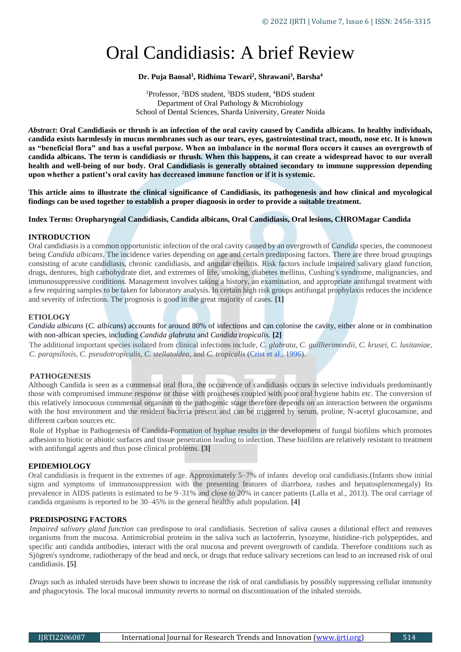# Oral Candidiasis: A brief Review

## **Dr. Puja Bansal<sup>1</sup> , Ridhima Tewari<sup>2</sup> , Shrawani<sup>3</sup> , Barsha<sup>4</sup>**

<sup>1</sup>Professor, <sup>2</sup>BDS student, <sup>3</sup>BDS student, <sup>4</sup>BDS student Department of Oral Pathology & Microbiology School of Dental Sciences, Sharda University, Greater Noida

*Abstract***: Oral Candidiasis or thrush is an infection of the oral cavity caused by Candida albicans. In healthy individuals, candida exists harmlessly in mucus membranes such as our tears, eyes, gastrointestinal tract, mouth, nose etc. It is known as "beneficial flora" and has a useful purpose. When an imbalance in the normal flora occurs it causes an overgrowth of candida albicans. The term is candidiasis or thrush. When this happens, it can create a widespread havoc to our overall health and well-being of our body. Oral Candidiasis is generally obtained secondary to immune suppression depending upon whether a patient's oral cavity has decreased immune function or if it is systemic.** 

**This article aims to illustrate the clinical significance of Candidiasis, its pathogenesis and how clinical and mycological findings can be used together to establish a proper diagnosis in order to provide a suitable treatment.**

## **Index Terms: Oropharyngeal Candidiasis, Candida albicans, Oral Candidiasis, Oral lesions, CHROMagar Candida**

## **INTRODUCTION**

Oral candidiasis is a common opportunistic infection of the oral cavity caused by an overgrowth of *Candida* species, the commonest being *Candida albicans*. The incidence varies depending on age and certain predisposing factors. There are three broad groupings consisting of acute candidiasis, chronic candidiasis, and angular cheilitis. Risk factors include impaired salivary gland function, drugs, dentures, high carbohydrate diet, and extremes of life, smoking, diabetes mellitus, Cushing's syndrome, malignancies, and immunosuppressive conditions. Management involves taking a history, an examination, and appropriate antifungal treatment with a few requiring samples to be taken for laboratory analysis. In certain high risk groups antifungal prophylaxis reduces the incidence and severity of infections. The prognosis is good in the great majority of cases. **[1]**

## **ETIOLOGY**

*Candida albicans* (*C. albicans*) accounts for around 80% of infections and can colonise the cavity, either alone or in combination with non-albican species, including *Candida glabrata* and *Candida tropicalis.* **[2]**

The additional important species isolated from clinical infections include, *C. glabrata, C. guillierimondii, C. krusei, C. lusitaniae, C. parapsilosis, C. pseudotropicalis, C. stellatoidea*, and *C. tropicalis* (Crist et al., 1996).

## **PATHOGENESIS**

Although Candida is seen as a commensal oral flora, the occurrence of candidiasis occurs in selective individuals predominantly those with compromised immune response or those with prostheses coupled with poor oral hygiene habits etc. The conversion of this relatively innocuous commensal organism to the pathogenic stage therefore depends on an interaction between the organisms with the host environment and the resident bacteria present and can be triggered by serum, proline, N-acetyl glucosamine, and different carbon sources etc.

Role of Hyphae in Pathogenesis of Candida-Formation of hyphae results in the development of fungal biofilms which promotes adhesion to biotic or abiotic surfaces and tissue penetration leading to infection. These biofilms are relatively resistant to treatment with antifungal agents and thus pose clinical problems. **[3]**

## **EPIDEMIOLOGY**

Oral candidiasis is frequent in the extremes of age. Approximately 5–7% of infants develop oral candidiasis.(Infants show initial signs and symptoms of immunosuppression with the presenting features of diarrhoea, rashes and hepatosplenomegaly) Its prevalence in AIDS patients is estimated to be 9–31% and close to 20% in cancer patients (Lalla et al., 2013). The oral carriage of candida organisms is reported to be 30–45% in the general healthy adult population. **[4]** 

## **PREDISPOSING FACTORS**

*Impaired salivary gland function* can predispose to oral candidiasis. Secretion of saliva causes a dilutional effect and removes organisms from the mucosa. Antimicrobial proteins in the saliva such as lactoferrin, lysozyme, histidine-rich polypeptides, and specific anti candida antibodies, interact with the oral mucosa and prevent overgrowth of candida. Therefore conditions such as Sjögren's syndrome, radiotherapy of the head and neck, or drugs that reduce salivary secretions can lead to an increased risk of oral candidiasis. **[5]**

*Drugs* such as inhaled steroids have been shown to increase the risk of oral candidiasis by possibly suppressing cellular immunity and phagocytosis. The local mucosal immunity reverts to normal on discontinuation of the inhaled steroids.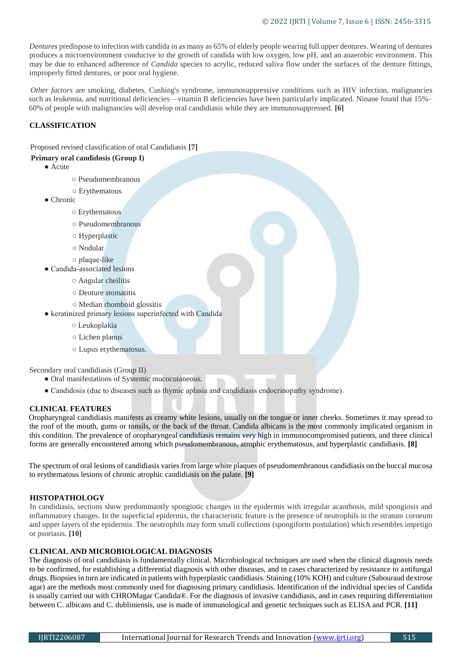*Dentures* predispose to infection with candida in as many as 65% of elderly people wearing full upper dentures. Wearing of dentures produces a microenvironment conducive to the growth of candida with low oxygen, low pH, and an anaerobic environment. This may be due to enhanced adherence of *Candida* species to acrylic, reduced saliva flow under the surfaces of the denture fittings, improperly fitted dentures, or poor oral hygiene.

*Other factors* are smoking, diabetes, Cushing's syndrome, immunosuppressive conditions such as HIV infection, malignancies such as leukemia, and nutritional deficiencies—vitamin B deficiencies have been particularly implicated. Ninane found that 15%– 60% of people with malignancies will develop oral candidiasis while they are immunosuppressed. **[6]**

## **CLASSIFICATION**

Proposed revised classification of oral Candidiasis **[7]**

## **Primary oral candidosis (Group I)**

- Acute
	- Pseudomembranous
	- Erythematous
- Chronic
	- Erythematous
	- Pseudomembranous
	- Hyperplastic
	- Nodular
	- plaque-like
- Candida-associated lesions
	- Angular cheilitis
	- Denture stomatitis
	- Median rhomboid glossitis
- keratinized primary lesions superinfected with Candida
	- Leukoplakia
	- Lichen planus
	- Lupus erythematosus.

Secondary oral candidiasis (Group II)

- Oral manifestations of Systemic mucocutaneous.
- Candidosis (due to diseases such as thymic aplasia and candidiasis endocrinopathy syndrome).

## **CLINICAL FEATURES**

Oropharyngeal candidiasis manifests as creamy white lesions, usually on the tongue or inner cheeks. Sometimes it may spread to the roof of the mouth, gums or tonsils, or the back of the throat. Candida albicans is the most commonly implicated organism in this condition. The prevalence of oropharyngeal candidiasis remains very high in immunocompromised patients, and three clinical forms are generally encountered among which pseudomembranous, atrophic erythematosus, and hyperplastic candidiasis. **[8]**

The spectrum of oral lesions of candidiasis varies from large white plaques of pseudomembranous candidiasis on the buccal mucosa to erythematous lesions of chronic atrophic candidiasis on the palate. **[9]**

## **HISTOPATHOLOGY**

In candidiasis, sections show predominantly spongiotic changes in the epidermis with irregular acanthosis, mild spongiosis and inflammatory changes. In the superficial epidermis, the characteristic feature is the presence of neutrophils in the stratum corneum and upper layers of the epidermis. The neutrophils may form small collections (spongiform postulation) which resembles impetigo or psoriasis. **[10]**

## **CLINICAL AND MICROBIOLOGICAL DIAGNOSIS**

The diagnosis of oral candidiasis is fundamentally clinical. Microbiological techniques are used when the clinical diagnosis needs to be confirmed, for establishing a differential diagnosis with other diseases, and in cases characterized by resistance to antifungal drugs. Biopsies in turn are indicated in patients with hyperplastic candidiasis. Staining (10% KOH) and culture (Sabouraud dextrose agar) are the methods most commonly used for diagnosing primary candidiasis. Identification of the individual species of Candida is usually carried out with CHROMagar Candida®. For the diagnosis of invasive candidiasis, and in cases requiring differentiation between C. albicans and C. dubliniensis, use is made of immunological and genetic techniques such as ELISA and PCR. **[11]**